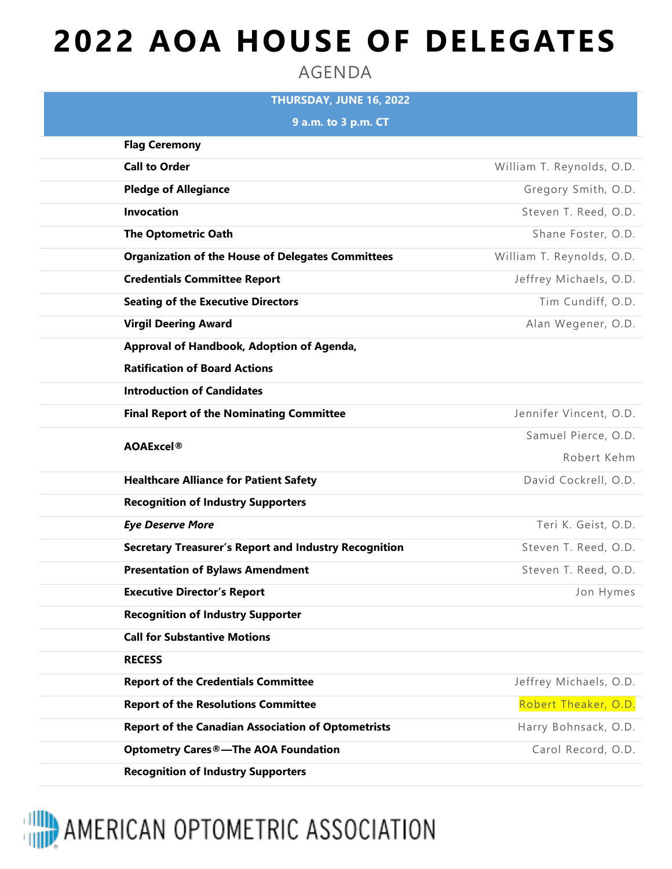## **2022 AOA HOUSE OF DELEGATES**

AGENDA

| THURSDAY, JUNE 16, 2022                                      |                           |
|--------------------------------------------------------------|---------------------------|
| 9 a.m. to 3 p.m. CT                                          |                           |
| <b>Flag Ceremony</b>                                         |                           |
| <b>Call to Order</b>                                         | William T. Reynolds, O.D. |
| <b>Pledge of Allegiance</b>                                  | Gregory Smith, O.D.       |
| <b>Invocation</b>                                            | Steven T. Reed, O.D.      |
| <b>The Optometric Oath</b>                                   | Shane Foster, O.D.        |
| <b>Organization of the House of Delegates Committees</b>     | William T. Reynolds, O.D. |
| <b>Credentials Committee Report</b>                          | Jeffrey Michaels, O.D.    |
| <b>Seating of the Executive Directors</b>                    | Tim Cundiff, O.D.         |
| <b>Virgil Deering Award</b>                                  | Alan Wegener, O.D.        |
| Approval of Handbook, Adoption of Agenda,                    |                           |
| <b>Ratification of Board Actions</b>                         |                           |
| <b>Introduction of Candidates</b>                            |                           |
| <b>Final Report of the Nominating Committee</b>              | Jennifer Vincent, O.D.    |
| <b>AOAExcel®</b>                                             | Samuel Pierce, O.D.       |
|                                                              | Robert Kehm               |
| <b>Healthcare Alliance for Patient Safety</b>                | David Cockrell, O.D.      |
| <b>Recognition of Industry Supporters</b>                    |                           |
| <b>Eye Deserve More</b>                                      | Teri K. Geist, O.D.       |
| <b>Secretary Treasurer's Report and Industry Recognition</b> | Steven T. Reed, O.D.      |
| <b>Presentation of Bylaws Amendment</b>                      | Steven T. Reed, O.D.      |
| <b>Executive Director's Report</b>                           | Jon Hymes                 |
| <b>Recognition of Industry Supporter</b>                     |                           |
| <b>Call for Substantive Motions</b>                          |                           |
| <b>RECESS</b>                                                |                           |
| <b>Report of the Credentials Committee</b>                   | Jeffrey Michaels, O.D.    |
| <b>Report of the Resolutions Committee</b>                   | Robert Theaker, O.D.      |
| <b>Report of the Canadian Association of Optometrists</b>    | Harry Bohnsack, O.D.      |
| <b>Optometry Cares®—The AOA Foundation</b>                   | Carol Record, O.D.        |
| <b>Recognition of Industry Supporters</b>                    |                           |